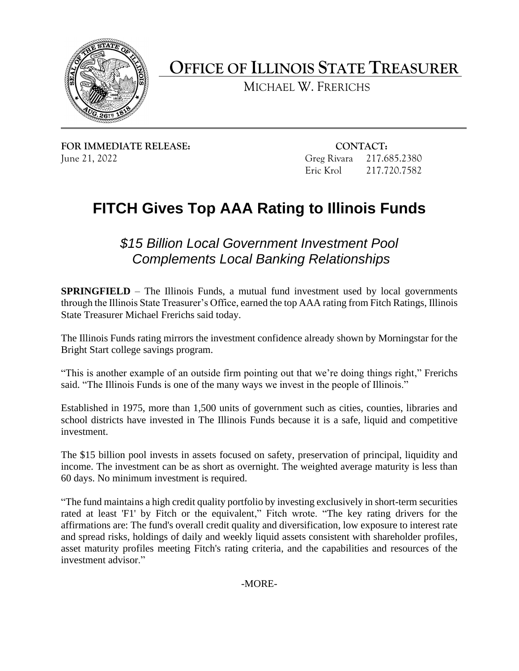

 **OFFICE OF ILLINOIS STATE TREASURER** 

MICHAEL W. FRERICHS

**FOR IMMEDIATE RELEASE: CONTACT:** 

 June 21, 2022 Greg Rivara 217.685.2380 Eric Krol 217.720.7582 217.720.7582

## **FITCH Gives Top AAA Rating to Illinois Funds**

*\$15 Billion Local Government Investment Pool Complements Local Banking Relationships* 

**SPRINGFIELD** – The Illinois Funds, a mutual fund investment used by local governments through the Illinois State Treasurer's Office, earned the top AAA rating from Fitch Ratings, Illinois State Treasurer Michael Frerichs said today.

 The Illinois Funds rating mirrors the investment confidence already shown by Morningstar for the Bright Start college savings program.

 "This is another example of an outside firm pointing out that we're doing things right," Frerichs said. "The Illinois Funds is one of the many ways we invest in the people of Illinois."

 school districts have invested in The Illinois Funds because it is a safe, liquid and competitive Established in 1975, more than 1,500 units of government such as cities, counties, libraries and investment.

The \$15 billion pool invests in assets focused on safety, preservation of principal, liquidity and income. The investment can be as short as overnight. The weighted average maturity is less than 60 days. No minimum investment is required.

 "The fund maintains a high credit quality portfolio by investing exclusively in short-term securities rated at least 'F1' by Fitch or the equivalent," Fitch wrote. "The key rating drivers for the affirmations are: The fund's overall credit quality and diversification, low exposure to interest rate and spread risks, holdings of daily and weekly liquid assets consistent with shareholder profiles, asset maturity profiles meeting Fitch's rating criteria, and the capabilities and resources of the investment advisor."

-MORE-